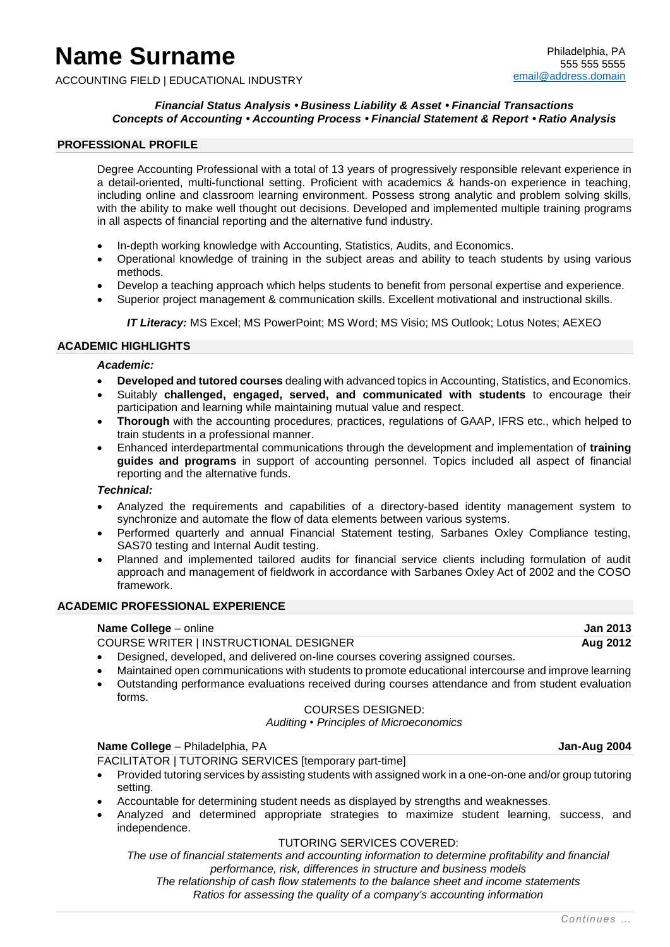# **Name Surname**

ACCOUNTING FIELD | EDUCATIONAL INDUSTRY

#### *Financial Status Analysis • Business Liability & Asset • Financial Transactions Concepts of Accounting • Accounting Process • Financial Statement & Report • Ratio Analysis*

#### **PROFESSIONAL PROFILE**

Degree Accounting Professional with a total of 13 years of progressively responsible relevant experience in a detail-oriented, multi-functional setting. Proficient with academics & hands-on experience in teaching, including online and classroom learning environment. Possess strong analytic and problem solving skills, with the ability to make well thought out decisions. Developed and implemented multiple training programs in all aspects of financial reporting and the alternative fund industry.

- In-depth working knowledge with Accounting, Statistics, Audits, and Economics.
- Operational knowledge of training in the subject areas and ability to teach students by using various methods.
- Develop a teaching approach which helps students to benefit from personal expertise and experience.
- Superior project management & communication skills. Excellent motivational and instructional skills.

*IT Literacy:* MS Excel; MS PowerPoint; MS Word; MS Visio; MS Outlook; Lotus Notes; AEXEO

#### **ACADEMIC HIGHLIGHTS**

#### *Academic:*

- **Developed and tutored courses** dealing with advanced topics in Accounting, Statistics, and Economics.
- Suitably **challenged, engaged, served, and communicated with students** to encourage their participation and learning while maintaining mutual value and respect.
- **Thorough** with the accounting procedures, practices, regulations of GAAP, IFRS etc., which helped to train students in a professional manner.
- Enhanced interdepartmental communications through the development and implementation of **training guides and programs** in support of accounting personnel. Topics included all aspect of financial reporting and the alternative funds.

#### *Technical:*

- Analyzed the requirements and capabilities of a directory-based identity management system to synchronize and automate the flow of data elements between various systems.
- Performed quarterly and annual Financial Statement testing, Sarbanes Oxley Compliance testing, SAS70 testing and Internal Audit testing.
- Planned and implemented tailored audits for financial service clients including formulation of audit approach and management of fieldwork in accordance with Sarbanes Oxley Act of 2002 and the COSO framework.

#### **ACADEMIC PROFESSIONAL EXPERIENCE**

#### **Name College** – online **Jan 2013**

COURSE WRITER | INSTRUCTIONAL DESIGNER **Aug 2012**

- Designed, developed, and delivered on-line courses covering assigned courses.
- Maintained open communications with students to promote educational intercourse and improve learning
- Outstanding performance evaluations received during courses attendance and from student evaluation forms.

#### COURSES DESIGNED:

*Auditing • Principles of Microeconomics*

#### **Name College** – Philadelphia, PA **Jan-Aug 2004**

FACILITATOR | TUTORING SERVICES [temporary part-time]

- Provided tutoring services by assisting students with assigned work in a one-on-one and/or group tutoring setting.
- Accountable for determining student needs as displayed by strengths and weaknesses.
- Analyzed and determined appropriate strategies to maximize student learning, success, and independence.

#### TUTORING SERVICES COVERED:

*The use of financial statements and accounting information to determine profitability and financial performance, risk, differences in structure and business models The relationship of cash flow statements to the balance sheet and income statements Ratios for assessing the quality of a company's accounting information*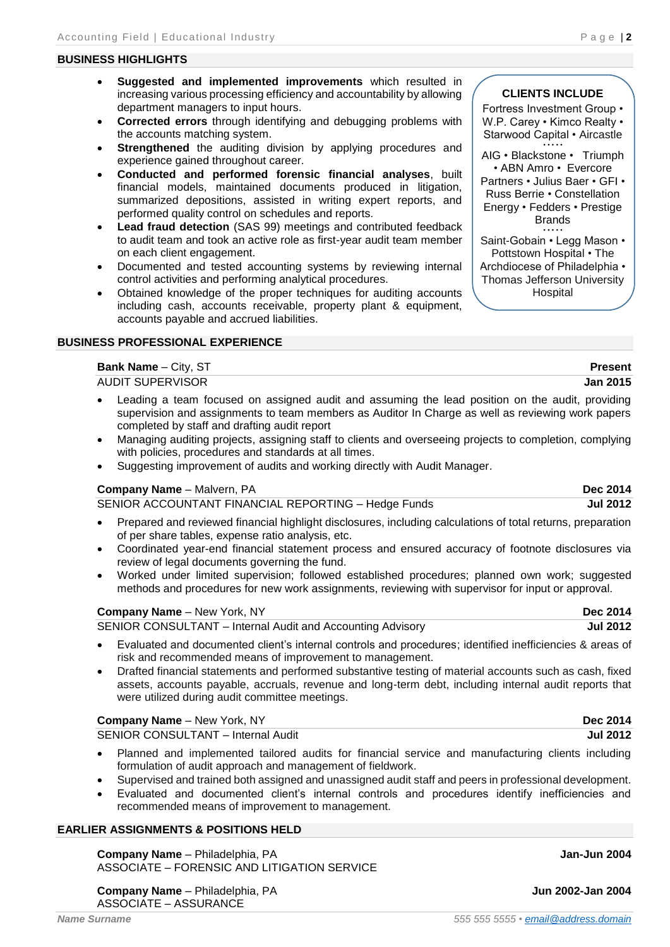#### **BUSINESS HIGHLIGHTS**

- **Suggested and implemented improvements** which resulted in increasing various processing efficiency and accountability by allowing department managers to input hours.
- **Corrected errors** through identifying and debugging problems with the accounts matching system.
- **Strengthened** the auditing division by applying procedures and experience gained throughout career.
- **Conducted and performed forensic financial analyses**, built financial models, maintained documents produced in litigation, summarized depositions, assisted in writing expert reports, and performed quality control on schedules and reports.
- **Lead fraud detection** (SAS 99) meetings and contributed feedback to audit team and took an active role as first-year audit team member on each client engagement.
- Documented and tested accounting systems by reviewing internal control activities and performing analytical procedures.
- Obtained knowledge of the proper techniques for auditing accounts including cash, accounts receivable, property plant & equipment, accounts payable and accrued liabilities.

### **BUSINESS PROFESSIONAL EXPERIENCE**

#### **Bank Name** – City, ST **Present**

AUDIT SUPERVISOR **Jan 2015**

- Leading a team focused on assigned audit and assuming the lead position on the audit, providing supervision and assignments to team members as Auditor In Charge as well as reviewing work papers completed by staff and drafting audit report
- Managing auditing projects, assigning staff to clients and overseeing projects to completion, complying with policies, procedures and standards at all times.
- Suggesting improvement of audits and working directly with Audit Manager.

#### **Company Name** – Malvern, PA **Dec 2014**

SENIOR ACCOUNTANT FINANCIAL REPORTING – Hedge Funds **Jul 2012**

- Prepared and reviewed financial highlight disclosures, including calculations of total returns, preparation of per share tables, expense ratio analysis, etc.
- Coordinated year-end financial statement process and ensured accuracy of footnote disclosures via review of legal documents governing the fund.
- Worked under limited supervision; followed established procedures; planned own work; suggested methods and procedures for new work assignments, reviewing with supervisor for input or approval.

#### **Company Name** – New York, NY **Dec 2014**

SENIOR CONSULTANT – Internal Audit and Accounting Advisory **Jul 2012**

- Evaluated and documented client's internal controls and procedures; identified inefficiencies & areas of risk and recommended means of improvement to management.
- Drafted financial statements and performed substantive testing of material accounts such as cash, fixed assets, accounts payable, accruals, revenue and long-term debt, including internal audit reports that were utilized during audit committee meetings.

#### **Company Name** – New York, NY **Dec 2014**

SENIOR CONSULTANT – Internal Audit **Jul 2012**

- Planned and implemented tailored audits for financial service and manufacturing clients including formulation of audit approach and management of fieldwork.
- Supervised and trained both assigned and unassigned audit staff and peers in professional development.
- Evaluated and documented client's internal controls and procedures identify inefficiencies and recommended means of improvement to management.

#### **EARLIER ASSIGNMENTS & POSITIONS HELD**

**Company Name** – Philadelphia, PA **Jan-Jun 2004 Jan-Jun 2004** ASSOCIATE – FORENSIC AND LITIGATION SERVICE

**Company Name** – Philadelphia, PA **Jun 2002-Jan 2004**

ASSOCIATE – ASSURANCE

W.P. Carey · Kimco Realty · Starwood Capital • Aircastle • • • • •

AIG • Blackstone • Triumph • ABN Amro • Evercore

Partners • Julius Baer • GFI • Russ Berrie • Constellation Energy • Fedders • Prestige Brands • • • • •

Saint-Gobain • Legg Mason • Pottstown Hospital • The Archdiocese of Philadelphia •

Thomas Jefferson University Hospital